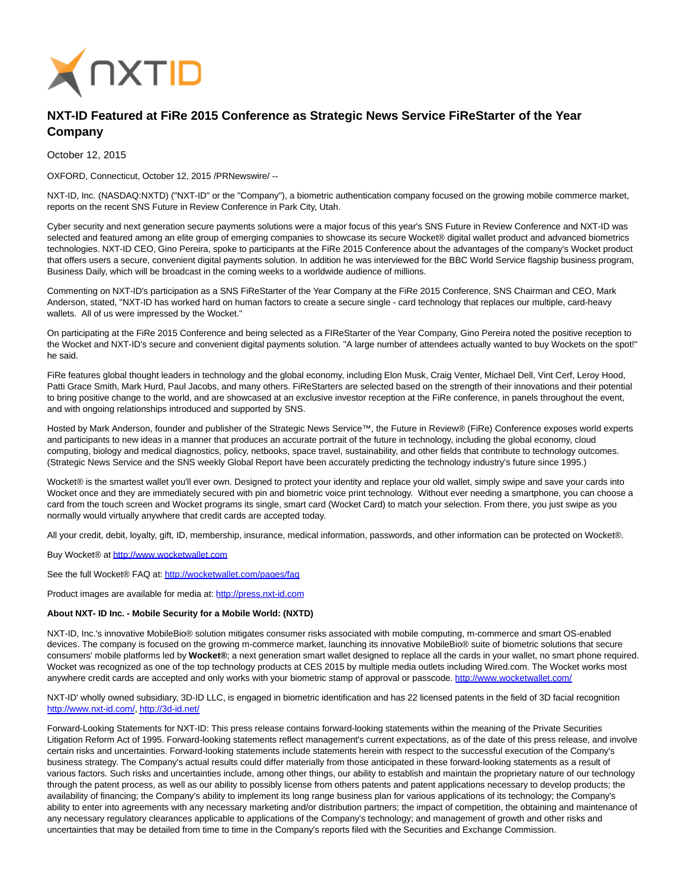

## **NXT-ID Featured at FiRe 2015 Conference as Strategic News Service FiReStarter of the Year Company**

October 12, 2015

OXFORD, Connecticut, October 12, 2015 /PRNewswire/ --

NXT-ID, Inc. (NASDAQ:NXTD) ("NXT-ID" or the "Company"), a biometric authentication company focused on the growing mobile commerce market, reports on the recent SNS Future in Review Conference in Park City, Utah.

Cyber security and next generation secure payments solutions were a major focus of this year's SNS Future in Review Conference and NXT-ID was selected and featured among an elite group of emerging companies to showcase its secure Wocket® digital wallet product and advanced biometrics technologies. NXT-ID CEO, Gino Pereira, spoke to participants at the FiRe 2015 Conference about the advantages of the company's Wocket product that offers users a secure, convenient digital payments solution. In addition he was interviewed for the BBC World Service flagship business program, Business Daily, which will be broadcast in the coming weeks to a worldwide audience of millions.

Commenting on NXT-ID's participation as a SNS FiReStarter of the Year Company at the FiRe 2015 Conference, SNS Chairman and CEO, Mark Anderson, stated, "NXT-ID has worked hard on human factors to create a secure single - card technology that replaces our multiple, card-heavy wallets. All of us were impressed by the Wocket."

On participating at the FiRe 2015 Conference and being selected as a FIReStarter of the Year Company, Gino Pereira noted the positive reception to the Wocket and NXT-ID's secure and convenient digital payments solution. "A large number of attendees actually wanted to buy Wockets on the spot!" he said.

FiRe features global thought leaders in technology and the global economy, including Elon Musk, Craig Venter, Michael Dell, Vint Cerf, Leroy Hood, Patti Grace Smith, Mark Hurd, Paul Jacobs, and many others. FiReStarters are selected based on the strength of their innovations and their potential to bring positive change to the world, and are showcased at an exclusive investor reception at the FiRe conference, in panels throughout the event, and with ongoing relationships introduced and supported by SNS.

Hosted by Mark Anderson, founder and publisher of the Strategic News Service™, the Future in Review® (FiRe) Conference exposes world experts and participants to new ideas in a manner that produces an accurate portrait of the future in technology, including the global economy, cloud computing, biology and medical diagnostics, policy, netbooks, space travel, sustainability, and other fields that contribute to technology outcomes. (Strategic News Service and the SNS weekly Global Report have been accurately predicting the technology industry's future since 1995.)

Wocket® is the smartest wallet you'll ever own. Designed to protect your identity and replace your old wallet, simply swipe and save your cards into Wocket once and they are immediately secured with pin and biometric voice print technology. Without ever needing a smartphone, you can choose a card from the touch screen and Wocket programs its single, smart card (Wocket Card) to match your selection. From there, you just swipe as you normally would virtually anywhere that credit cards are accepted today.

All your credit, debit, loyalty, gift, ID, membership, insurance, medical information, passwords, and other information can be protected on Wocket®.

Buy Wocket® at [http://www.wocketwallet.com](http://www.wocketwallet.com/)

See the full Wocket® FAQ at:<http://wocketwallet.com/pages/faq>

Product images are available for media at: [http://press.nxt-id.com](http://press.nxt-id.com/)

## **About NXT- ID Inc. - Mobile Security for a Mobile World: (NXTD)**

NXT-ID, Inc.'s innovative MobileBio® solution mitigates consumer risks associated with mobile computing, m-commerce and smart OS-enabled devices. The company is focused on the growing m-commerce market, launching its innovative MobileBio® suite of biometric solutions that secure consumers' mobile platforms led by **Wocket®**; a next generation smart wallet designed to replace all the cards in your wallet, no smart phone required. Wocket was recognized as one of the top technology products at CES 2015 by multiple media outlets including Wired.com. The Wocket works most anywhere credit cards are accepted and only works with your biometric stamp of approval or passcode.<http://www.wocketwallet.com/>

NXT-ID' wholly owned subsidiary, 3D-ID LLC, is engaged in biometric identification and has 22 licensed patents in the field of 3D facial recognition [http://www.nxt-id.com/,](http://www.nxt-id.com/)<http://3d-id.net/>

Forward-Looking Statements for NXT-ID: This press release contains forward-looking statements within the meaning of the Private Securities Litigation Reform Act of 1995. Forward-looking statements reflect management's current expectations, as of the date of this press release, and involve certain risks and uncertainties. Forward-looking statements include statements herein with respect to the successful execution of the Company's business strategy. The Company's actual results could differ materially from those anticipated in these forward-looking statements as a result of various factors. Such risks and uncertainties include, among other things, our ability to establish and maintain the proprietary nature of our technology through the patent process, as well as our ability to possibly license from others patents and patent applications necessary to develop products; the availability of financing; the Company's ability to implement its long range business plan for various applications of its technology; the Company's ability to enter into agreements with any necessary marketing and/or distribution partners; the impact of competition, the obtaining and maintenance of any necessary regulatory clearances applicable to applications of the Company's technology; and management of growth and other risks and uncertainties that may be detailed from time to time in the Company's reports filed with the Securities and Exchange Commission.